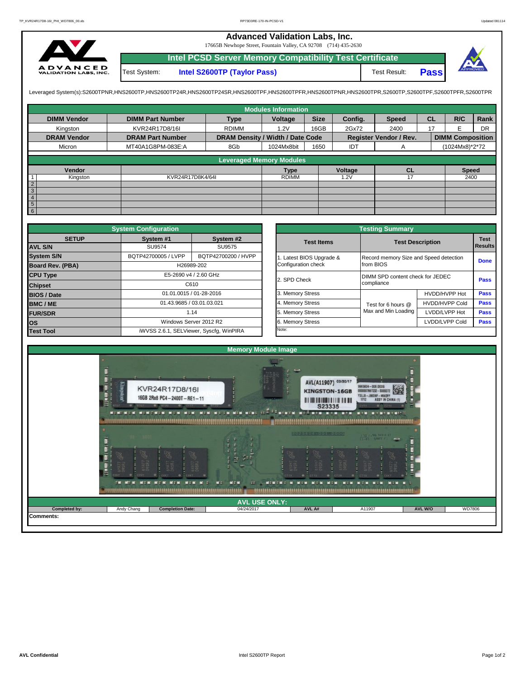## **Advanced Validation Labs, Inc.**

17665B Newhope Street, Fountain Valley, CA 92708 (714) 435-2630



**Intel PCSD Server Memory Compatibility Test Certificate Pass** Test System: **Intel S2600TP (Taylor Pass)** Test Result:

Leveraged System(s):S2600TPNR,HNS2600TP,HNS2600TP24R,HNS2600TP24SR,HNS2600TPF,HNS2600TPRR,HNS2600TPR,S2600TPR,S2600TPR,S2600TPR,S2600TPR,S2600TPFR,S2600TPFR,

|                    |                         |                                  | <b>Modules Information</b> |             |         |                               |           |                         |           |
|--------------------|-------------------------|----------------------------------|----------------------------|-------------|---------|-------------------------------|-----------|-------------------------|-----------|
| <b>DIMM Vendor</b> | <b>DIMM Part Number</b> | <b>Type</b>                      | Voltage                    | <b>Size</b> | Config. | <b>Speed</b>                  | <b>CL</b> | R/C                     | Rank      |
| Kingston           | KVR24R17D8/16I          | <b>RDIMM</b>                     | 1.2V                       | 16GB        | 2Gx72   | 2400                          | 17        | F                       | <b>DR</b> |
| <b>DRAM Vendor</b> | <b>DRAM Part Number</b> | DRAM Density / Width / Date Code |                            |             |         | <b>Register Vendor / Rev.</b> |           | <b>DIMM Composition</b> |           |
| Micron             | MT40A1G8PM-083E:A       | 8Gb                              | 1024Mx8bit                 | 1650        | IDT     | A                             |           | (1024Mx8)*2*72          |           |
|                    |                         | <b>Leveraged Memory Modules</b>  |                            |             |         |                               |           |                         |           |
|                    |                         |                                  |                            |             |         |                               |           |                         |           |
| Vendor             |                         |                                  | <b>Type</b>                |             | Voltage | <b>CL</b>                     |           | <b>Speed</b>            |           |
| Kingston           | KVR24R17D8K4/64I        |                                  | <b>RDIMM</b>               |             | 1.2V    | 17                            |           | 2400                    |           |
| $\overline{2}$     |                         |                                  |                            |             |         |                               |           |                         |           |
| $\overline{3}$     |                         |                                  |                            |             |         |                               |           |                         |           |
| $\overline{4}$     |                         |                                  |                            |             |         |                               |           |                         |           |
| 5                  |                         |                                  |                            |             |         |                               |           |                         |           |
| 6                  |                         |                                  |                            |             |         |                               |           |                         |           |

|                                | <b>System Configuration</b> |                                         |  |                       | <b>Testing Summary</b>                 |                                  |                               |  |
|--------------------------------|-----------------------------|-----------------------------------------|--|-----------------------|----------------------------------------|----------------------------------|-------------------------------|--|
| <b>SETUP</b><br><b>AVL S/N</b> | System #1<br><b>SU9574</b>  | System #2<br>SU9575                     |  | <b>Test Items</b>     |                                        | <b>Test Description</b>          | <b>Test</b><br><b>Results</b> |  |
| <b>System S/N</b>              | BQTP42700005 / LVPP         | BQTP42700200 / HVPP                     |  | Latest BIOS Upgrade & | Record memory Size and Speed detection |                                  | <b>Done</b>                   |  |
| <b>Board Rev. (PBA)</b>        |                             | H26989-202                              |  | Configuration check   | from BIOS                              |                                  |                               |  |
| <b>CPU Type</b>                | E5-2690 v4 / 2.60 GHz       |                                         |  | 2. SPD Check          |                                        | DIMM SPD content check for JEDEC |                               |  |
| <b>Chipset</b>                 | C610                        |                                         |  |                       | compliance                             |                                  | Pass                          |  |
| <b>BIOS / Date</b>             |                             | 01.01.0015 / 01-28-2016                 |  | 3. Memory Stress      |                                        | HVDD/HVPP Hot                    | Pass                          |  |
| <b>BMC/ME</b>                  |                             | 01.43.9685 / 03.01.03.021               |  | 4. Memory Stress      | Test for 6 hours @                     | <b>HVDD/HVPP Cold</b>            | <b>Pass</b>                   |  |
| <b>FUR/SDR</b>                 |                             | 1.14                                    |  | 5. Memory Stress      | Max and Min Loading                    | LVDD/LVPP Hot                    | <b>Pass</b>                   |  |
| <b>los</b>                     |                             | Windows Server 2012 R2                  |  | 6. Memory Stress      |                                        | LVDD/LVPP Cold                   | <b>Pass</b>                   |  |
| <b>Test Tool</b>               |                             | iWVSS 2.6.1, SELViewer, Syscfq, WinPIRA |  | Note:                 |                                        |                                  |                               |  |

|              | <b>System Configuration</b> |                                         |                       | <b>Testing Summary</b>                 |                       |                |  |
|--------------|-----------------------------|-----------------------------------------|-----------------------|----------------------------------------|-----------------------|----------------|--|
| <b>SETUP</b> | System #1                   | System #2                               | <b>Test Items</b>     | <b>Test Description</b>                |                       |                |  |
|              | SU9574                      | SU9575                                  |                       |                                        |                       | <b>Results</b> |  |
|              | BQTP42700005 / LVPP         | BQTP42700200 / HVPP                     | Latest BIOS Upgrade & | Record memory Size and Speed detection |                       |                |  |
| PBA)         |                             | H26989-202                              | Configuration check   | from BIOS                              |                       | <b>Done</b>    |  |
|              |                             | E5-2690 v4 / 2.60 GHz                   | 2. SPD Check          | DIMM SPD content check for JEDEC       |                       |                |  |
|              |                             | C610                                    |                       | compliance                             |                       | Pass           |  |
|              |                             | 01.01.0015 / 01-28-2016                 | 3. Memory Stress      |                                        | HVDD/HVPP Hot         | Pass           |  |
|              |                             | 01.43.9685 / 03.01.03.021               | 4. Memory Stress      | Test for 6 hours @                     | <b>HVDD/HVPP Cold</b> | Pass           |  |
|              |                             | 1.14                                    | 5. Memory Stress      | Max and Min Loading                    | LVDD/LVPP Hot         | Pass           |  |
|              |                             | Windows Server 2012 R2                  | 6. Memory Stress      |                                        | LVDD/LVPP Cold        | Pass           |  |
|              |                             | iWVSS 2.6.1, SELViewer, Syscfg, WinPIRA | Note:                 |                                        |                       |                |  |